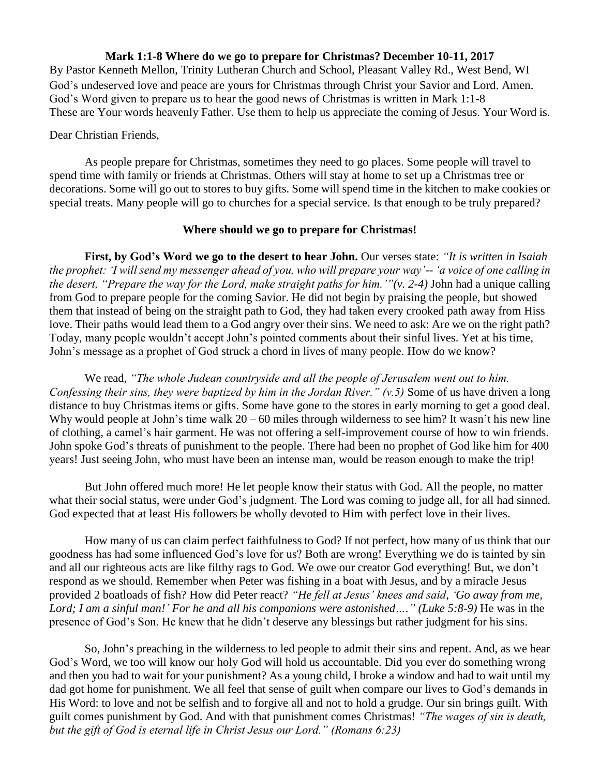## **Mark 1:1-8 Where do we go to prepare for Christmas? December 10-11, 2017**

By Pastor Kenneth Mellon, Trinity Lutheran Church and School, Pleasant Valley Rd., West Bend, WI God's undeserved love and peace are yours for Christmas through Christ your Savior and Lord. Amen. God's Word given to prepare us to hear the good news of Christmas is written in Mark 1:1-8 These are Your words heavenly Father. Use them to help us appreciate the coming of Jesus. Your Word is.

## Dear Christian Friends,

As people prepare for Christmas, sometimes they need to go places. Some people will travel to spend time with family or friends at Christmas. Others will stay at home to set up a Christmas tree or decorations. Some will go out to stores to buy gifts. Some will spend time in the kitchen to make cookies or special treats. Many people will go to churches for a special service. Is that enough to be truly prepared?

## **Where should we go to prepare for Christmas!**

**First, by God's Word we go to the desert to hear John.** Our verses state: *"It is written in Isaiah the prophet: 'I will send my messenger ahead of you, who will prepare your way'-- 'a voice of one calling in the desert, "Prepare the way for the Lord, make straight paths for him.'"(v. 2-4)* John had a unique calling from God to prepare people for the coming Savior. He did not begin by praising the people, but showed them that instead of being on the straight path to God, they had taken every crooked path away from Hiss love. Their paths would lead them to a God angry over their sins. We need to ask: Are we on the right path? Today, many people wouldn't accept John's pointed comments about their sinful lives. Yet at his time, John's message as a prophet of God struck a chord in lives of many people. How do we know?

We read, *"The whole Judean countryside and all the people of Jerusalem went out to him. Confessing their sins, they were baptized by him in the Jordan River." (v.5)* Some of us have driven a long distance to buy Christmas items or gifts. Some have gone to the stores in early morning to get a good deal. Why would people at John's time walk  $20 - 60$  miles through wilderness to see him? It wasn't his new line of clothing, a camel's hair garment. He was not offering a self-improvement course of how to win friends. John spoke God's threats of punishment to the people. There had been no prophet of God like him for 400 years! Just seeing John, who must have been an intense man, would be reason enough to make the trip!

But John offered much more! He let people know their status with God. All the people, no matter what their social status, were under God's judgment. The Lord was coming to judge all, for all had sinned. God expected that at least His followers be wholly devoted to Him with perfect love in their lives.

How many of us can claim perfect faithfulness to God? If not perfect, how many of us think that our goodness has had some influenced God's love for us? Both are wrong! Everything we do is tainted by sin and all our righteous acts are like filthy rags to God. We owe our creator God everything! But, we don't respond as we should. Remember when Peter was fishing in a boat with Jesus, and by a miracle Jesus provided 2 boatloads of fish? How did Peter react? *"He fell at Jesus' knees and said*, *'Go away from me, Lord; I am a sinful man!' For he and all his companions were astonished…." (Luke 5:8-9)* He was in the presence of God's Son. He knew that he didn't deserve any blessings but rather judgment for his sins.

So, John's preaching in the wilderness to led people to admit their sins and repent. And, as we hear God's Word, we too will know our holy God will hold us accountable. Did you ever do something wrong and then you had to wait for your punishment? As a young child, I broke a window and had to wait until my dad got home for punishment. We all feel that sense of guilt when compare our lives to God's demands in His Word: to love and not be selfish and to forgive all and not to hold a grudge. Our sin brings guilt. With guilt comes punishment by God. And with that punishment comes Christmas! *"The wages of sin is death, but the gift of God is eternal life in Christ Jesus our Lord." (Romans 6:23)*